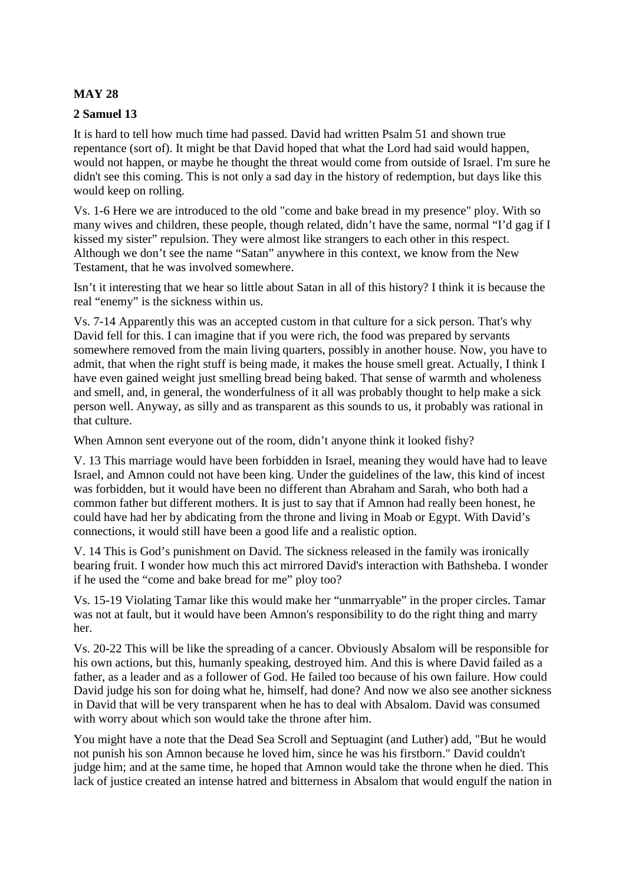## **MAY 28**

### **2 Samuel 13**

It is hard to tell how much time had passed. David had written Psalm 51 and shown true repentance (sort of). It might be that David hoped that what the Lord had said would happen, would not happen, or maybe he thought the threat would come from outside of Israel. I'm sure he didn't see this coming. This is not only a sad day in the history of redemption, but days like this would keep on rolling.

Vs. 1-6 Here we are introduced to the old "come and bake bread in my presence" ploy. With so many wives and children, these people, though related, didn't have the same, normal "I'd gag if I kissed my sister" repulsion. They were almost like strangers to each other in this respect. Although we don't see the name "Satan" anywhere in this context, we know from the New Testament, that he was involved somewhere.

Isn't it interesting that we hear so little about Satan in all of this history? I think it is because the real "enemy" is the sickness within us.

Vs. 7-14 Apparently this was an accepted custom in that culture for a sick person. That's why David fell for this. I can imagine that if you were rich, the food was prepared by servants somewhere removed from the main living quarters, possibly in another house. Now, you have to admit, that when the right stuff is being made, it makes the house smell great. Actually, I think I have even gained weight just smelling bread being baked. That sense of warmth and wholeness and smell, and, in general, the wonderfulness of it all was probably thought to help make a sick person well. Anyway, as silly and as transparent as this sounds to us, it probably was rational in that culture.

When Amnon sent everyone out of the room, didn't anyone think it looked fishy?

V. 13 This marriage would have been forbidden in Israel, meaning they would have had to leave Israel, and Amnon could not have been king. Under the guidelines of the law, this kind of incest was forbidden, but it would have been no different than Abraham and Sarah, who both had a common father but different mothers. It is just to say that if Amnon had really been honest, he could have had her by abdicating from the throne and living in Moab or Egypt. With David's connections, it would still have been a good life and a realistic option.

V. 14 This is God's punishment on David. The sickness released in the family was ironically bearing fruit. I wonder how much this act mirrored David's interaction with Bathsheba. I wonder if he used the "come and bake bread for me" ploy too?

Vs. 15-19 Violating Tamar like this would make her "unmarryable" in the proper circles. Tamar was not at fault, but it would have been Amnon's responsibility to do the right thing and marry her.

Vs. 20-22 This will be like the spreading of a cancer. Obviously Absalom will be responsible for his own actions, but this, humanly speaking, destroyed him. And this is where David failed as a father, as a leader and as a follower of God. He failed too because of his own failure. How could David judge his son for doing what he, himself, had done? And now we also see another sickness in David that will be very transparent when he has to deal with Absalom. David was consumed with worry about which son would take the throne after him.

You might have a note that the Dead Sea Scroll and Septuagint (and Luther) add, "But he would not punish his son Amnon because he loved him, since he was his firstborn." David couldn't judge him; and at the same time, he hoped that Amnon would take the throne when he died. This lack of justice created an intense hatred and bitterness in Absalom that would engulf the nation in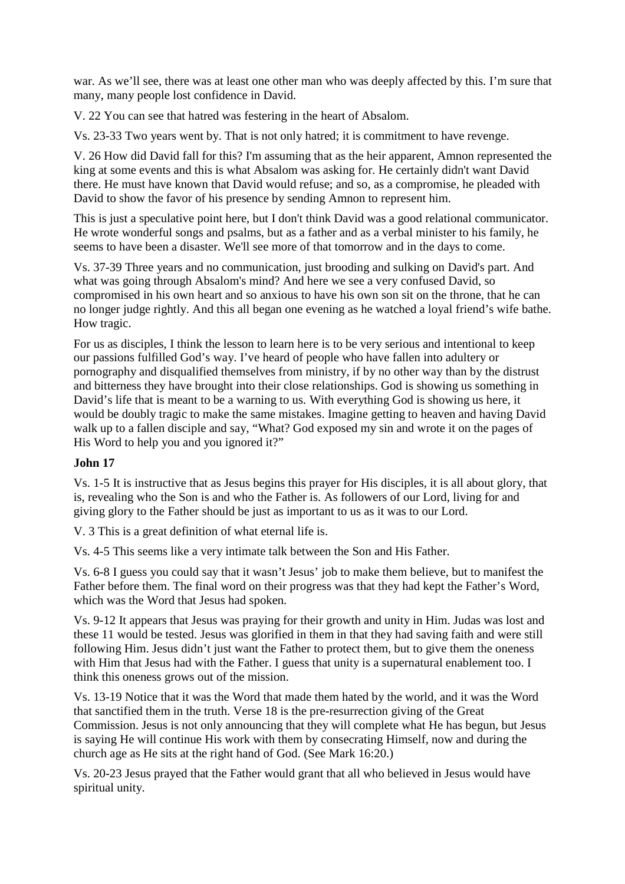war. As we'll see, there was at least one other man who was deeply affected by this. I'm sure that many, many people lost confidence in David.

V. 22 You can see that hatred was festering in the heart of Absalom.

Vs. 23-33 Two years went by. That is not only hatred; it is commitment to have revenge.

V. 26 How did David fall for this? I'm assuming that as the heir apparent, Amnon represented the king at some events and this is what Absalom was asking for. He certainly didn't want David there. He must have known that David would refuse; and so, as a compromise, he pleaded with David to show the favor of his presence by sending Amnon to represent him.

This is just a speculative point here, but I don't think David was a good relational communicator. He wrote wonderful songs and psalms, but as a father and as a verbal minister to his family, he seems to have been a disaster. We'll see more of that tomorrow and in the days to come.

Vs. 37-39 Three years and no communication, just brooding and sulking on David's part. And what was going through Absalom's mind? And here we see a very confused David, so compromised in his own heart and so anxious to have his own son sit on the throne, that he can no longer judge rightly. And this all began one evening as he watched a loyal friend's wife bathe. How tragic.

For us as disciples, I think the lesson to learn here is to be very serious and intentional to keep our passions fulfilled God's way. I've heard of people who have fallen into adultery or pornography and disqualified themselves from ministry, if by no other way than by the distrust and bitterness they have brought into their close relationships. God is showing us something in David's life that is meant to be a warning to us. With everything God is showing us here, it would be doubly tragic to make the same mistakes. Imagine getting to heaven and having David walk up to a fallen disciple and say, "What? God exposed my sin and wrote it on the pages of His Word to help you and you ignored it?"

# **John 17**

Vs. 1-5 It is instructive that as Jesus begins this prayer for His disciples, it is all about glory, that is, revealing who the Son is and who the Father is. As followers of our Lord, living for and giving glory to the Father should be just as important to us as it was to our Lord.

V. 3 This is a great definition of what eternal life is.

Vs. 4-5 This seems like a very intimate talk between the Son and His Father.

Vs. 6-8 I guess you could say that it wasn't Jesus' job to make them believe, but to manifest the Father before them. The final word on their progress was that they had kept the Father's Word, which was the Word that Jesus had spoken.

Vs. 9-12 It appears that Jesus was praying for their growth and unity in Him. Judas was lost and these 11 would be tested. Jesus was glorified in them in that they had saving faith and were still following Him. Jesus didn't just want the Father to protect them, but to give them the oneness with Him that Jesus had with the Father. I guess that unity is a supernatural enablement too. I think this oneness grows out of the mission.

Vs. 13-19 Notice that it was the Word that made them hated by the world, and it was the Word that sanctified them in the truth. Verse 18 is the pre-resurrection giving of the Great Commission. Jesus is not only announcing that they will complete what He has begun, but Jesus is saying He will continue His work with them by consecrating Himself, now and during the church age as He sits at the right hand of God. (See Mark 16:20.)

Vs. 20-23 Jesus prayed that the Father would grant that all who believed in Jesus would have spiritual unity.